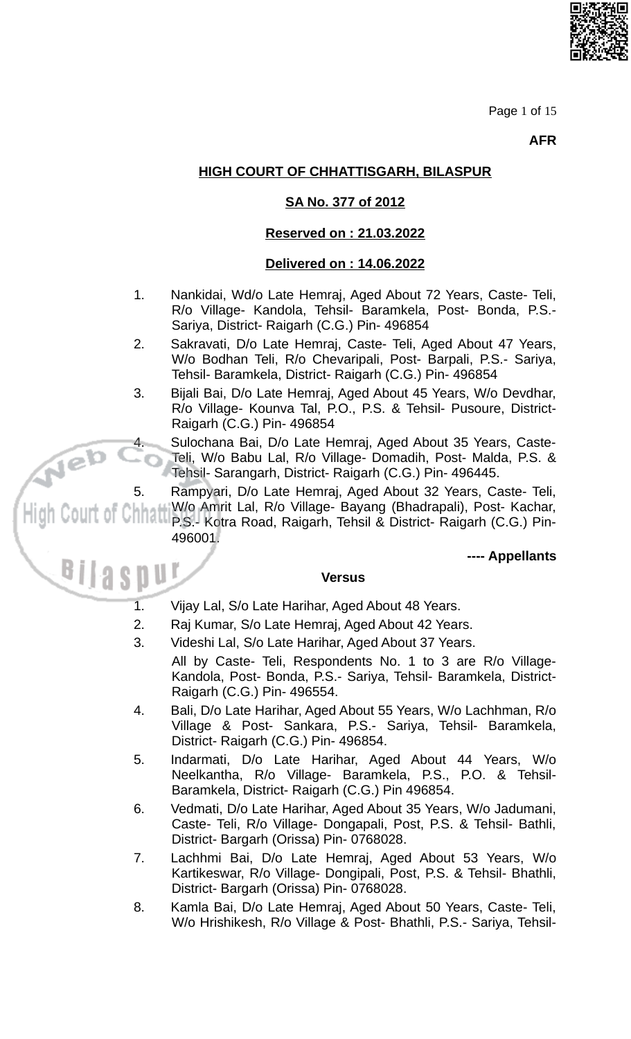

Page 1 of 15

**AFR** 

# **HIGH COURT OF CHHATTISGARH, BILASPUR**

## SA No. 377 of 2012

### Reserved on: 21.03.2022

## Delivered on: 14.06.2022

- $1.$ Nankidai, Wd/o Late Hemraj, Aged About 72 Years, Caste- Teli, R/o Village- Kandola, Tehsil- Baramkela, Post- Bonda, P.S.-Sariya, District- Raigarh (C.G.) Pin- 496854
- $2.$ Sakravati, D/o Late Hemraj, Caste- Teli, Aged About 47 Years, W/o Bodhan Teli, R/o Chevaripali, Post- Barpali, P.S.- Sariya, Tehsil- Baramkela, District- Raigarh (C.G.) Pin- 496854
- Bijali Bai, D/o Late Hemraj, Aged About 45 Years, W/o Devdhar, 3. R/o Village- Kounva Tal, P.O., P.S. & Tehsil- Pusoure, District-Raigarh (C.G.) Pin- 496854
	- Sulochana Bai, D/o Late Hemraj, Aged About 35 Years, Caste-Teli, W/o Babu Lal, R/o Village- Domadih, Post- Malda, P.S. & Tehsil- Sarangarh, District- Raigarh (C.G.) Pin- 496445.
	- Rampyari, D/o Late Hemraj, Aged About 32 Years, Caste- Teli,
		- W/o Amrit Lal, R/o Village- Bayang (Bhadrapali), Post- Kachar, P.S.- Kotra Road, Raigarh, Tehsil & District- Raigarh (C.G.) Pin-496001.

---- Appellants

#### **Versus**

 $\overline{1}$ . Vijay Lal, S/o Late Harihar, Aged About 48 Years.

leb

5.

- $2.$ Raj Kumar, S/o Late Hemraj, Aged About 42 Years.
- 3. Videshi Lal, S/o Late Harihar, Aged About 37 Years.
- All by Caste- Teli, Respondents No. 1 to 3 are R/o Village-Kandola, Post- Bonda, P.S.- Sariya, Tehsil- Baramkela, District-Raigarh (C.G.) Pin- 496554.
- $\overline{4}$ . Bali, D/o Late Harihar, Aged About 55 Years, W/o Lachhman, R/o Village & Post- Sankara, P.S.- Sariya, Tehsil- Baramkela, District- Raigarh (C.G.) Pin- 496854.
- 5. Indarmati, D/o Late Harihar, Aged About 44 Years, W/o Neelkantha, R/o Village- Baramkela, P.S., P.O. & Tehsil-Baramkela, District- Raigarh (C.G.) Pin 496854.
- 6. Vedmati, D/o Late Harihar, Aged About 35 Years, W/o Jadumani, Caste- Teli, R/o Village- Dongapali, Post, P.S. & Tehsil- Bathli, District- Bargarh (Orissa) Pin- 0768028.
- Lachhmi Bai, D/o Late Hemraj, Aged About 53 Years, W/o 7. Kartikeswar, R/o Village- Dongipali, Post, P.S. & Tehsil- Bhathli, District- Bargarh (Orissa) Pin- 0768028.
- Kamla Bai, D/o Late Hemraj, Aged About 50 Years, Caste- Teli, 8. W/o Hrishikesh, R/o Village & Post- Bhathli, P.S.- Sariya, Tehsil-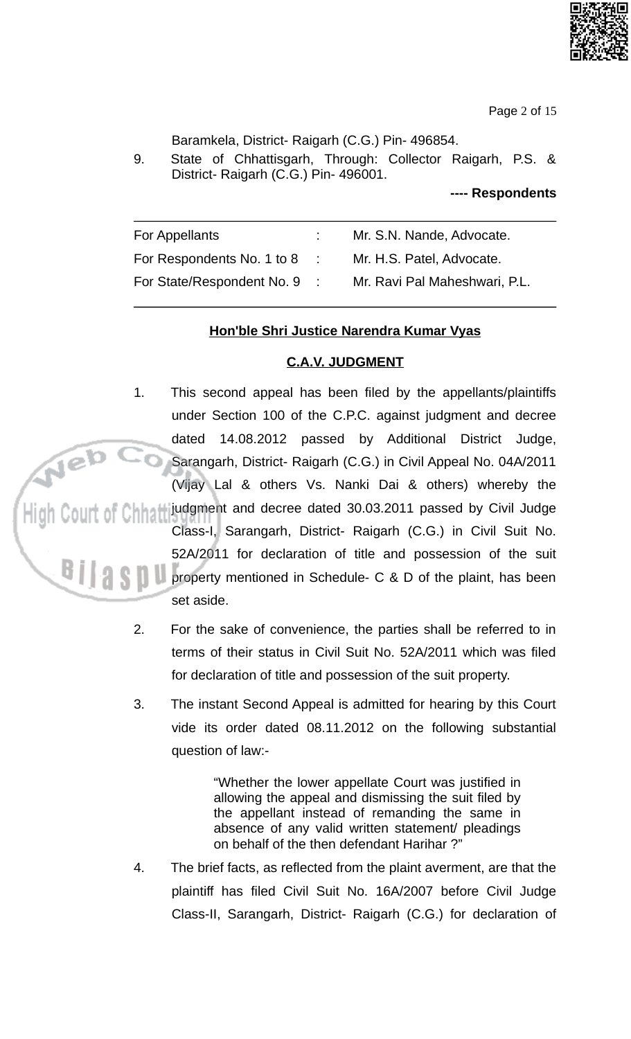

Page 2 of 15

Baramkela, District- Raigarh (C.G.) Pin- 496854.

9. State of Chhattisgarh, Through: Collector Raigarh, P.S. & District- Raigarh (C.G.) Pin- 496001.

---- Respondents

| For Appellants             | Mr. S.N. Nande, Advocate.     |
|----------------------------|-------------------------------|
| For Respondents No. 1 to 8 | Mr. H.S. Patel, Advocate.     |
| For State/Respondent No. 9 | Mr. Ravi Pal Maheshwari, P.L. |

# Hon'ble Shri Justice Narendra Kumar Vyas

#### **C.A.V. JUDGMENT**

 $1<sub>1</sub>$ This second appeal has been filed by the appellants/plaintiffs under Section 100 of the C.P.C. against judgment and decree dated 14.08.2012 passed by Additional District Judge, Sarangarh, District- Raigarh (C.G.) in Civil Appeal No. 04A/2011 (Vijay Lal & others Vs. Nanki Dai & others) whereby the

judgment and decree dated 30.03.2011 passed by Civil Judge Class-I, Sarangarh, District- Raigarh (C.G.) in Civil Suit No.

52A/2011 for declaration of title and possession of the suit property mentioned in Schedule- C & D of the plaint, has been set aside.

- $2.$ For the sake of convenience, the parties shall be referred to in terms of their status in Civil Suit No. 52A/2011 which was filed for declaration of title and possession of the suit property.
- $3<sub>1</sub>$ The instant Second Appeal is admitted for hearing by this Court vide its order dated 08.11.2012 on the following substantial question of law:-

"Whether the lower appellate Court was justified in allowing the appeal and dismissing the suit filed by the appellant instead of remanding the same in absence of any valid written statement/ pleadings on behalf of the then defendant Harihar?"

4. The brief facts, as reflected from the plaint averment, are that the plaintiff has filed Civil Suit No. 16A/2007 before Civil Judge Class-II, Sarangarh, District- Raigarh (C.G.) for declaration of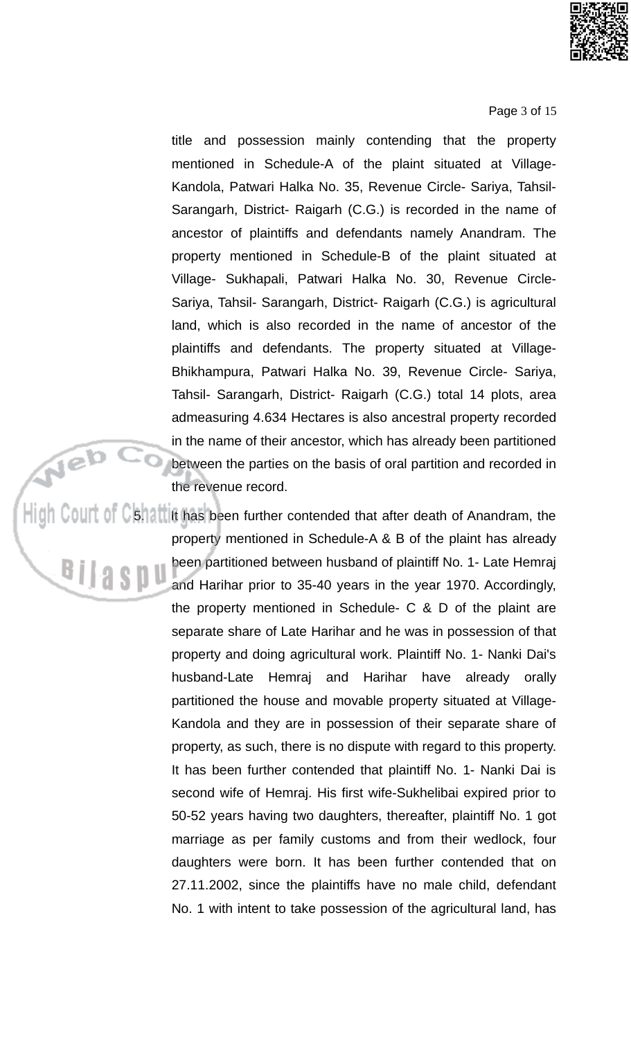

Page 3 of 15

title and possession mainly contending that the property mentioned in Schedule-A of the plaint situated at Village-Kandola, Patwari Halka No. 35, Revenue Circle- Sariya, Tahsil-Sarangarh, District- Raigarh (C.G.) is recorded in the name of ancestor of plaintiffs and defendants namely Anandram. The property mentioned in Schedule-B of the plaint situated at Village- Sukhapali, Patwari Halka No. 30, Revenue Circle-Sariya, Tahsil- Sarangarh, District- Raigarh (C.G.) is agricultural land, which is also recorded in the name of ancestor of the plaintiffs and defendants. The property situated at Village-Bhikhampura, Patwari Halka No. 39, Revenue Circle- Sariya, Tahsil- Sarangarh, District- Raigarh (C.G.) total 14 plots, area admeasuring 4.634 Hectares is also ancestral property recorded in the name of their ancestor, which has already been partitioned between the parties on the basis of oral partition and recorded in the revenue record.

High Court of Cshattilt has been further contended that after death of Anandram, the property mentioned in Schedule-A & B of the plaint has already been partitioned between husband of plaintiff No. 1- Late Hemraj and Harihar prior to 35-40 years in the year 1970. Accordingly, the property mentioned in Schedule-  $C & D$  of the plaint are separate share of Late Harihar and he was in possession of that property and doing agricultural work. Plaintiff No. 1- Nanki Dai's husband-Late Hemraj and Harihar have already orally partitioned the house and movable property situated at Village-Kandola and they are in possession of their separate share of property, as such, there is no dispute with regard to this property. It has been further contended that plaintiff No. 1- Nanki Dai is second wife of Hemraj. His first wife-Sukhelibai expired prior to 50-52 years having two daughters, thereafter, plaintiff No. 1 got marriage as per family customs and from their wedlock, four daughters were born. It has been further contended that on 27.11.2002, since the plaintiffs have no male child, defendant No. 1 with intent to take possession of the agricultural land, has

Neb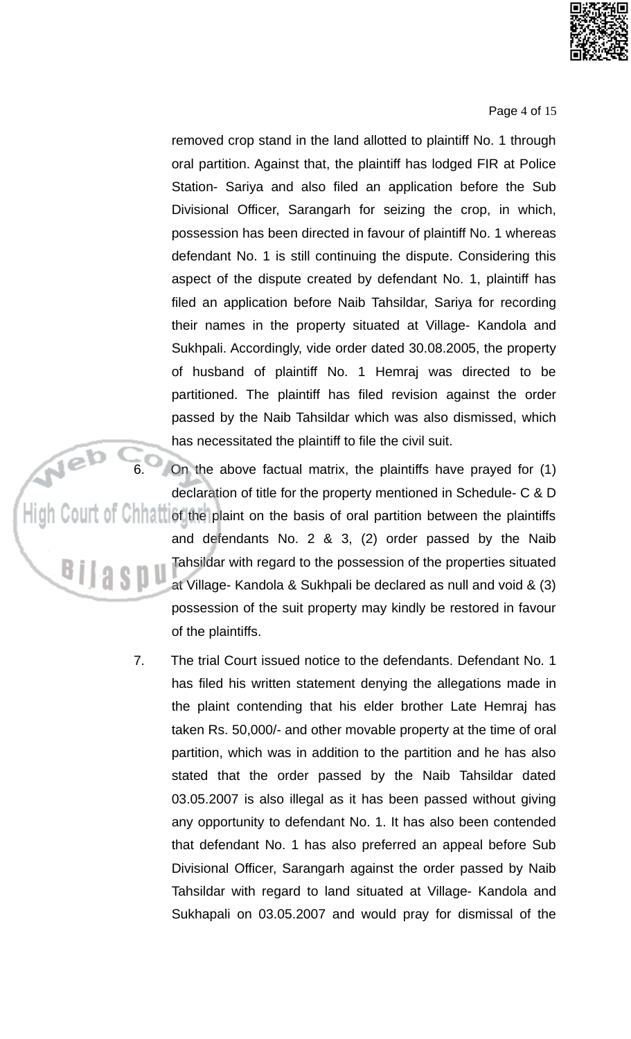

Page 4 of 15

removed crop stand in the land allotted to plaintiff No. 1 through oral partition. Against that, the plaintiff has lodged FIR at Police Station- Sariya and also filed an application before the Sub Divisional Officer, Sarangarh for seizing the crop, in which, possession has been directed in favour of plaintiff No. 1 whereas defendant No. 1 is still continuing the dispute. Considering this aspect of the dispute created by defendant No. 1, plaintiff has filed an application before Naib Tahsildar, Sariya for recording their names in the property situated at Village- Kandola and Sukhpali. Accordingly, vide order dated 30.08.2005, the property of husband of plaintiff No. 1 Hemraj was directed to be partitioned. The plaintiff has filed revision against the order passed by the Naib Tahsildar which was also dismissed, which has necessitated the plaintiff to file the civil suit.

On the above factual matrix, the plaintiffs have prayed for (1) declaration of title for the property mentioned in Schedule- C & D  $\frac{1}{\sin \theta}$  Court of Chham of the plaint on the basis of oral partition between the plaintiffs and defendants No. 2 & 3, (2) order passed by the Naib Tahsildar with regard to the possession of the properties situated at Village- Kandola & Sukhpali be declared as null and void & (3) possession of the suit property may kindly be restored in favour of the plaintiffs.

> 7. The trial Court issued notice to the defendants. Defendant No. 1 has filed his written statement denying the allegations made in the plaint contending that his elder brother Late Hemraj has taken Rs. 50,000/- and other movable property at the time of oral partition, which was in addition to the partition and he has also stated that the order passed by the Naib Tahsildar dated 03.05.2007 is also illegal as it has been passed without giving any opportunity to defendant No. 1. It has also been contended that defendant No. 1 has also preferred an appeal before Sub Divisional Officer, Sarangarh against the order passed by Naib Tahsildar with regard to land situated at Village- Kandola and Sukhapali on 03.05.2007 and would pray for dismissal of the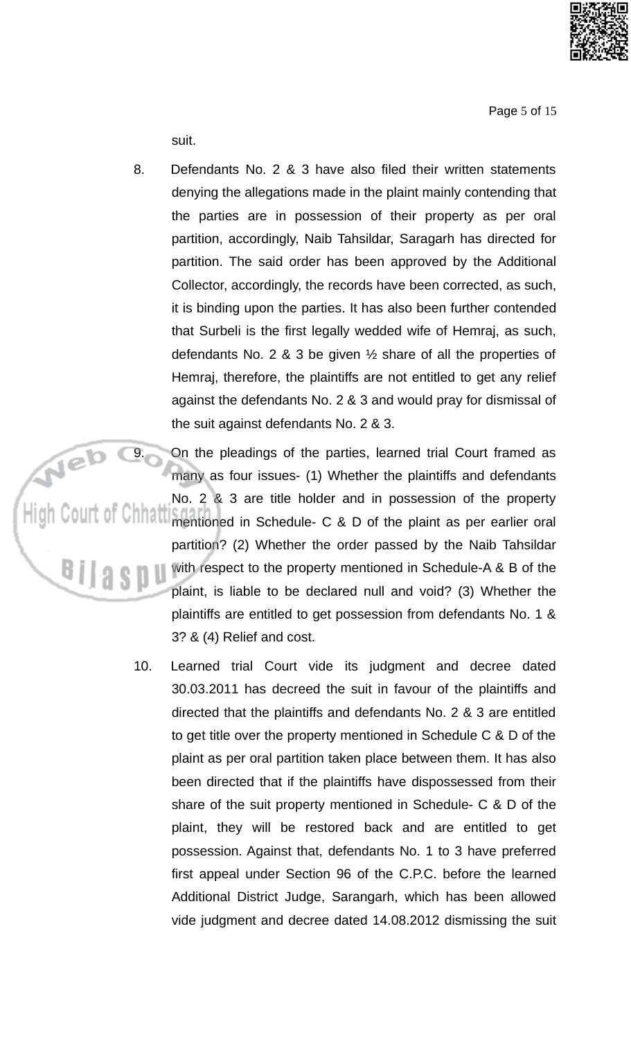

Page 5 of 15

suit.

8. Defendants No. 2 & 3 have also filed their written statements denying the allegations made in the plaint mainly contending that the parties are in possession of their property as per oral partition, accordingly, Naib Tahsildar, Saragarh has directed for partition. The said order has been approved by the Additional Collector, accordingly, the records have been corrected, as such, it is binding upon the parties. It has also been further contended that Surbeli is the first legally wedded wife of Hemraj, as such, defendants No. 2 & 3 be given  $\frac{1}{2}$  share of all the properties of Hemraj, therefore, the plaintiffs are not entitled to get any relief against the defendants No. 2 & 3 and would pray for dismissal of the suit against defendants No. 2 & 3.

Neb C On the pleadings of the parties, learned trial Court framed as many as four issues- (1) Whether the plaintiffs and defendants No. 2 & 3 are title holder and in possession of the property mentioned in Schedule- C & D of the plaint as per earlier oral partition? (2) Whether the order passed by the Naib Tahsildar <sup>Bilasp</sup> with respect to the property mentioned in Schedule-A & B of the plaint, is liable to be declared null and void? (3) Whether the plaintiffs are entitled to get possession from defendants No. 1 & 3? & (4) Relief and cost.

> 10. Learned trial Court vide its judgment and decree dated 30.03.2011 has decreed the suit in favour of the plaintiffs and directed that the plaintiffs and defendants No. 2 & 3 are entitled to get title over the property mentioned in Schedule C & D of the plaint as per oral partition taken place between them. It has also been directed that if the plaintiffs have dispossessed from their share of the suit property mentioned in Schedule- C & D of the plaint, they will be restored back and are entitled to get possession. Against that, defendants No. 1 to 3 have preferred first appeal under Section 96 of the C.P.C. before the learned Additional District Judge, Sarangarh, which has been allowed vide judgment and decree dated 14.08.2012 dismissing the suit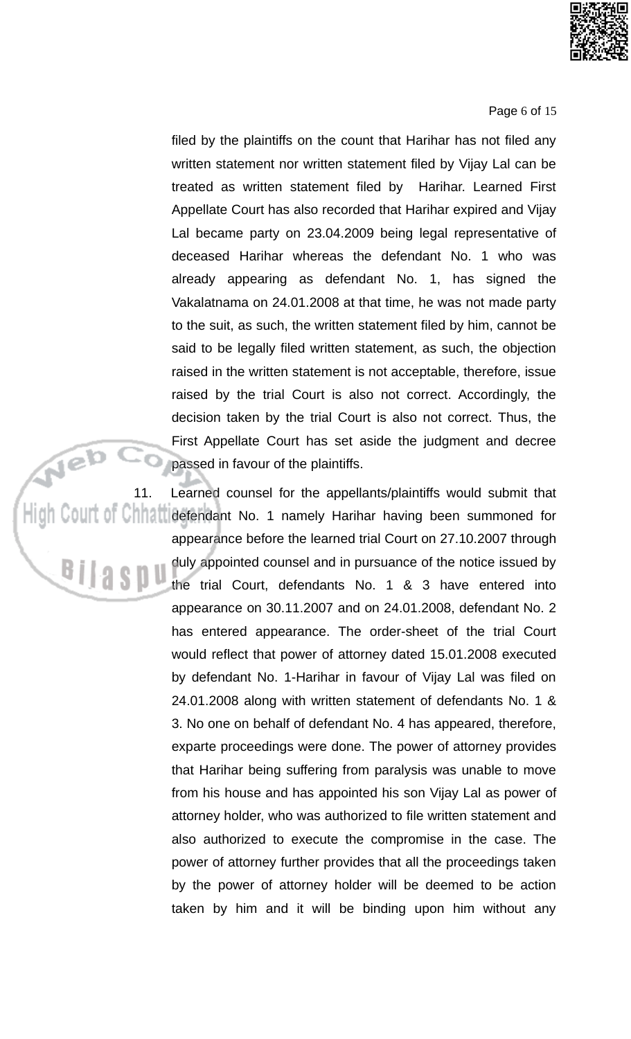

Page 6 of 15

filed by the plaintiffs on the count that Harihar has not filed any written statement nor written statement filed by Vijay Lal can be treated as written statement filed by Harihar. Learned First Appellate Court has also recorded that Harihar expired and Vijay Lal became party on 23.04.2009 being legal representative of deceased Harihar whereas the defendant No. 1 who was already appearing as defendant No. 1, has signed the Vakalatnama on 24.01.2008 at that time, he was not made party to the suit, as such, the written statement filed by him, cannot be said to be legally filed written statement, as such, the objection raised in the written statement is not acceptable, therefore, issue raised by the trial Court is also not correct. Accordingly, the decision taken by the trial Court is also not correct. Thus, the First Appellate Court has set aside the judgment and decree passed in favour of the plaintiffs.

Neb Learned counsel for the appellants/plaintiffs would submit that 11. High Court of Chhain defendant No. 1 namely Harihar having been summoned for appearance before the learned trial Court on 27.10.2007 through duly appointed counsel and in pursuance of the notice issued by <sup>Bilaspu</sup> the trial Court, defendants No. 1 & 3 have entered into appearance on 30.11.2007 and on 24.01.2008, defendant No. 2 has entered appearance. The order-sheet of the trial Court would reflect that power of attorney dated 15.01.2008 executed by defendant No. 1-Harihar in favour of Vijay Lal was filed on 24.01.2008 along with written statement of defendants No. 1 & 3. No one on behalf of defendant No. 4 has appeared, therefore, exparte proceedings were done. The power of attorney provides that Harihar being suffering from paralysis was unable to move from his house and has appointed his son Vijay Lal as power of attorney holder, who was authorized to file written statement and also authorized to execute the compromise in the case. The power of attorney further provides that all the proceedings taken by the power of attorney holder will be deemed to be action taken by him and it will be binding upon him without any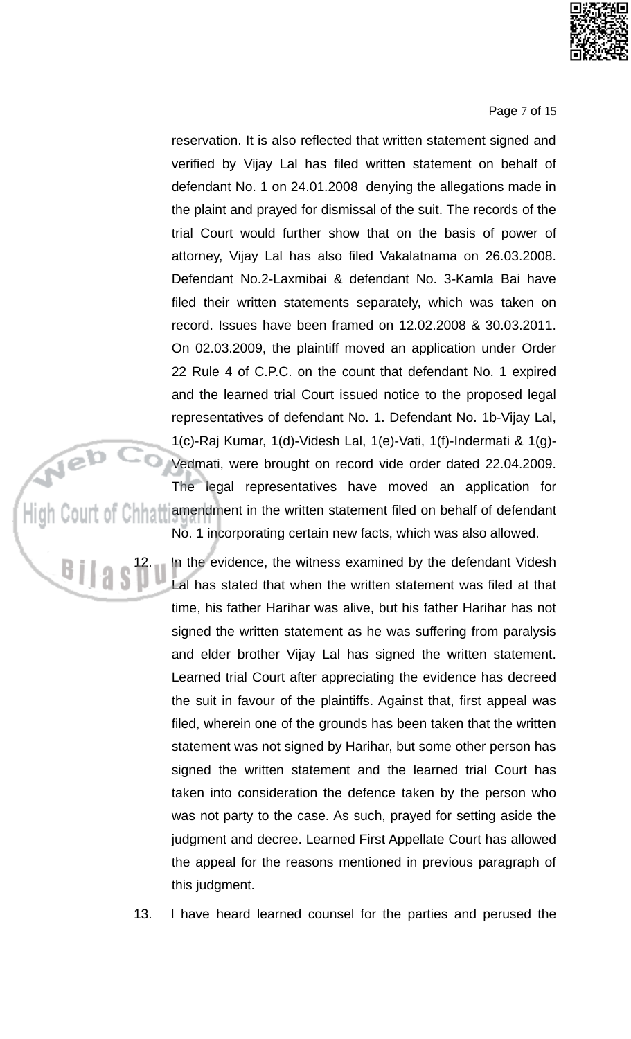

#### Page 7 of 15

reservation. It is also reflected that written statement signed and verified by Vijay Lal has filed written statement on behalf of defendant No. 1 on 24.01.2008 denying the allegations made in the plaint and prayed for dismissal of the suit. The records of the trial Court would further show that on the basis of power of attorney, Vijay Lal has also filed Vakalatnama on 26.03.2008. Defendant No.2-Laxmibai & defendant No. 3-Kamla Bai have filed their written statements separately, which was taken on record. Issues have been framed on 12,02,2008 & 30,03,2011. On 02.03.2009, the plaintiff moved an application under Order 22 Rule 4 of C.P.C. on the count that defendant No. 1 expired and the learned trial Court issued notice to the proposed legal representatives of defendant No. 1. Defendant No. 1b-Vijay Lal, 1(c)-Raj Kumar, 1(d)-Videsh Lal, 1(e)-Vati, 1(f)-Indermati & 1(g)-

L(c)-Raj Kurnar, L(a)-Videsh Lal, 1(e)-Vati, 1(f)-Indermati & 1(g)-<br>Vedmati, were brought on record vide order dated 22.04.2009.<br>The legal representatives have moved an application for<br>High Court of Chhattiamendment in the No. 1 incorporating certain new facts, which was also allowed.

> In the evidence, the witness examined by the defendant Videsh Lal has stated that when the written statement was filed at that time, his father Harihar was alive, but his father Harihar has not signed the written statement as he was suffering from paralysis and elder brother Vijay Lal has signed the written statement. Learned trial Court after appreciating the evidence has decreed the suit in favour of the plaintiffs. Against that, first appeal was filed, wherein one of the grounds has been taken that the written statement was not signed by Harihar, but some other person has signed the written statement and the learned trial Court has taken into consideration the defence taken by the person who was not party to the case. As such, prayed for setting aside the judgment and decree. Learned First Appellate Court has allowed the appeal for the reasons mentioned in previous paragraph of this judgment.

13. I have heard learned counsel for the parties and perused the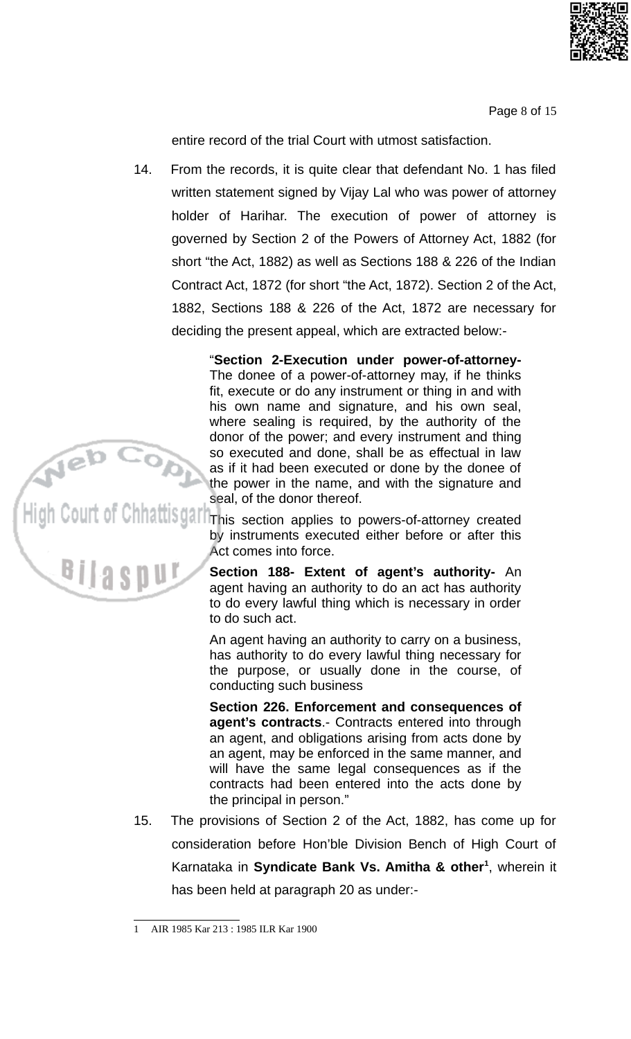

Page 8 of 15

entire record of the trial Court with utmost satisfaction.

From the records, it is quite clear that defendant No. 1 has filed 14. written statement signed by Vijay Lal who was power of attorney holder of Harihar. The execution of power of attorney is governed by Section 2 of the Powers of Attorney Act, 1882 (for short "the Act, 1882) as well as Sections 188 & 226 of the Indian Contract Act, 1872 (for short "the Act, 1872). Section 2 of the Act, 1882, Sections 188 & 226 of the Act, 1872 are necessary for deciding the present appeal, which are extracted below:-

> "Section 2-Execution under power-of-attorney-The donee of a power-of-attorney may, if he thinks fit, execute or do any instrument or thing in and with his own name and signature, and his own seal, where sealing is required, by the authority of the donor of the power; and every instrument and thing so executed and done, shall be as effectual in law as if it had been executed or done by the donee of the power in the name, and with the signature and seal, of the donor thereof.

**hatils garitrinis** section applies to powers-of-attorney created by instruments executed either before or after this Act comes into force.

> Section 188- Extent of agent's authority- An agent having an authority to do an act has authority to do every lawful thing which is necessary in order to do such act.

> An agent having an authority to carry on a business, has authority to do every lawful thing necessary for the purpose, or usually done in the course, of conducting such business

> Section 226. Enforcement and consequences of agent's contracts.- Contracts entered into through an agent, and obligations arising from acts done by an agent, may be enforced in the same manner, and will have the same legal consequences as if the contracts had been entered into the acts done by the principal in person."

15. The provisions of Section 2 of the Act, 1882, has come up for consideration before Hon'ble Division Bench of High Court of Karnataka in Syndicate Bank Vs. Amitha & other<sup>1</sup>, wherein it has been held at paragraph 20 as under:-

AIR 1985 Kar 213: 1985 ILR Kar 1900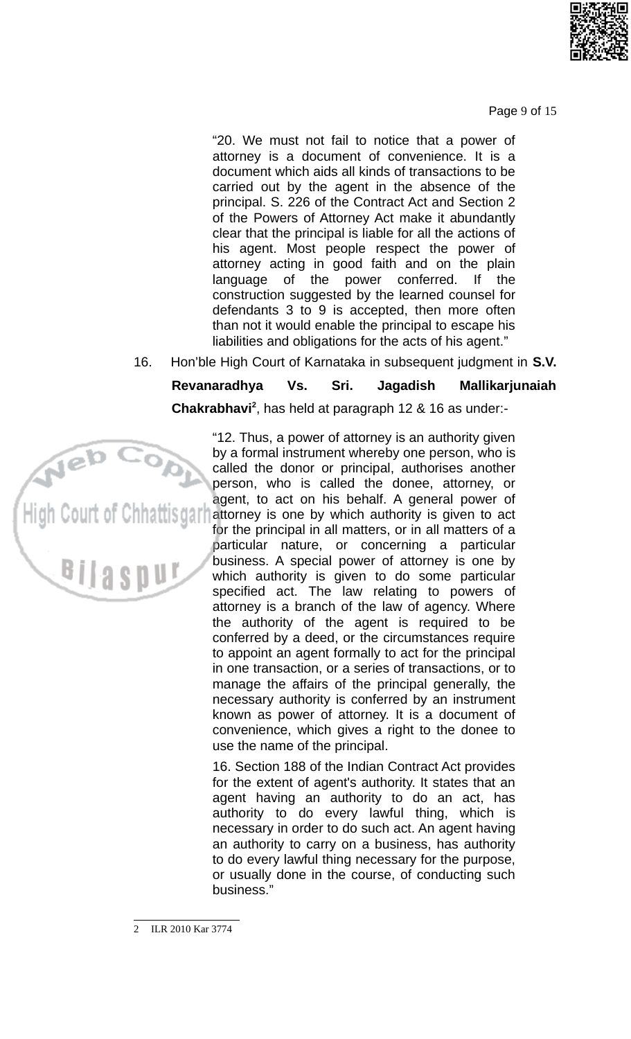

Page 9 of 15

"20. We must not fail to notice that a power of attorney is a document of convenience. It is a document which aids all kinds of transactions to be carried out by the agent in the absence of the principal. S. 226 of the Contract Act and Section 2 of the Powers of Attorney Act make it abundantly clear that the principal is liable for all the actions of his agent. Most people respect the power of attorney acting in good faith and on the plain language of the power conferred. the -lf construction suggested by the learned counsel for defendants 3 to 9 is accepted, then more often than not it would enable the principal to escape his liabilities and obligations for the acts of his agent."

Hon'ble High Court of Karnataka in subsequent judgment in S.V. 16.

#### Revanaradhya Vs. Sri. Jagadish Mallikarjunaiah Chakrabhavi<sup>2</sup>, has held at paragraph 12 & 16 as under:-



"12. Thus, a power of attorney is an authority given by a formal instrument whereby one person, who is called the donor or principal, authorises another person, who is called the donee, attorney, or agent, to act on his behalf. A general power of attorney is one by which authority is given to act for the principal in all matters, or in all matters of a particular nature, or concerning a particular business. A special power of attorney is one by which authority is given to do some particular specified act. The law relating to powers of attorney is a branch of the law of agency. Where the authority of the agent is required to be conferred by a deed, or the circumstances require to appoint an agent formally to act for the principal in one transaction, or a series of transactions, or to manage the affairs of the principal generally, the necessary authority is conferred by an instrument known as power of attorney. It is a document of convenience, which gives a right to the donee to use the name of the principal.

16. Section 188 of the Indian Contract Act provides for the extent of agent's authority. It states that an agent having an authority to do an act, has authority to do every lawful thing, which is necessary in order to do such act. An agent having an authority to carry on a business, has authority to do every lawful thing necessary for the purpose, or usually done in the course, of conducting such business."

ILR 2010 Kar 3774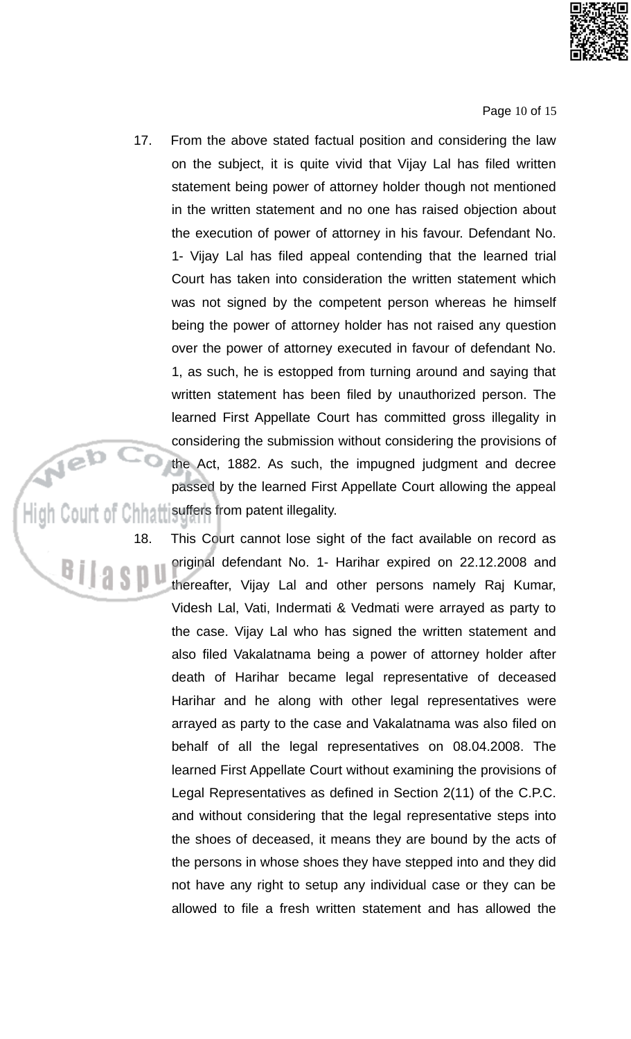

Page 10 of 15

17. From the above stated factual position and considering the law on the subject, it is quite vivid that Vijay Lal has filed written statement being power of attorney holder though not mentioned in the written statement and no one has raised objection about the execution of power of attorney in his favour. Defendant No. 1- Vijay Lal has filed appeal contending that the learned trial Court has taken into consideration the written statement which was not signed by the competent person whereas he himself being the power of attorney holder has not raised any question over the power of attorney executed in favour of defendant No. 1, as such, he is estopped from turning around and saying that written statement has been filed by unauthorized person. The learned First Appellate Court has committed gross illegality in considering the submission without considering the provisions of the Act, 1882. As such, the impugned judgment and decree passed by the learned First Appellate Court allowing the appeal High Court of Chhatt suffers from patent illegality.

18.

This Court cannot lose sight of the fact available on record as original defendant No. 1- Harihar expired on 22.12.2008 and <sup>B</sup>ilaspu thereafter, Vijay Lal and other persons namely Raj Kumar, Videsh Lal, Vati, Indermati & Vedmati were arrayed as party to the case. Vijay Lal who has signed the written statement and also filed Vakalatnama being a power of attorney holder after death of Harihar became legal representative of deceased Harihar and he along with other legal representatives were arrayed as party to the case and Vakalatnama was also filed on behalf of all the legal representatives on 08.04.2008. The learned First Appellate Court without examining the provisions of Legal Representatives as defined in Section 2(11) of the C.P.C. and without considering that the legal representative steps into the shoes of deceased, it means they are bound by the acts of the persons in whose shoes they have stepped into and they did not have any right to setup any individual case or they can be allowed to file a fresh written statement and has allowed the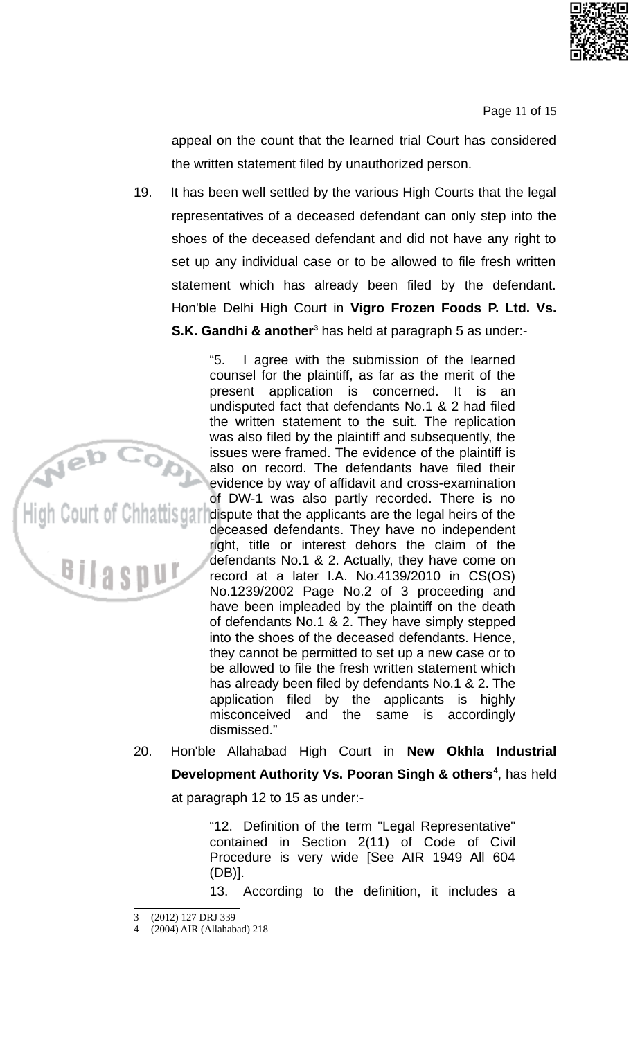

Page 11 of 15

appeal on the count that the learned trial Court has considered the written statement filed by unauthorized person.

19. It has been well settled by the various High Courts that the legal representatives of a deceased defendant can only step into the shoes of the deceased defendant and did not have any right to set up any individual case or to be allowed to file fresh written statement which has already been filed by the defendant. Hon'ble Delhi High Court in Vigro Frozen Foods P. Ltd. Vs. **S.K. Gandhi & another**<sup>3</sup> has held at paragraph 5 as under:-

"5. I agree with the submission of the learned counsel for the plaintiff, as far as the merit of the present application is concerned. It is  $An$ undisputed fact that defendants No.1 & 2 had filed the written statement to the suit. The replication was also filed by the plaintiff and subsequently, the issues were framed. The evidence of the plaintiff is<br>also on record. The defendants have filed their<br>evidence by way of affidavit and cross-examination<br>of DW-1 was also partly recorded. There is no<br>high Court of Chinattisg

deceased defendants. They have no independent right, title or interest dehors the claim of the defendants No.1 & 2. Actually, they have come on record at a later I.A. No.4139/2010 in CS(OS) No.1239/2002 Page No.2 of 3 proceeding and have been impleaded by the plaintiff on the death of defendants No.1 & 2. They have simply stepped into the shoes of the deceased defendants. Hence, they cannot be permitted to set up a new case or to be allowed to file the fresh written statement which has already been filed by defendants No.1 & 2. The application filed by the applicants is highly misconceived and the same is accordingly dismissed."

Hon'ble Allahabad High Court in New Okhla Industrial 20. Development Authority Vs. Pooran Singh & others<sup>4</sup>, has held

at paragraph 12 to 15 as under:-

"12. Definition of the term "Legal Representative" contained in Section 2(11) of Code of Civil Procedure is very wide [See AIR 1949 All 604  $(DB)$ ].

According to the definition, it includes a 13.

<sup>3 (2012) 127</sup> DRJ 339

<sup>4 (2004)</sup> AIR (Allahabad) 218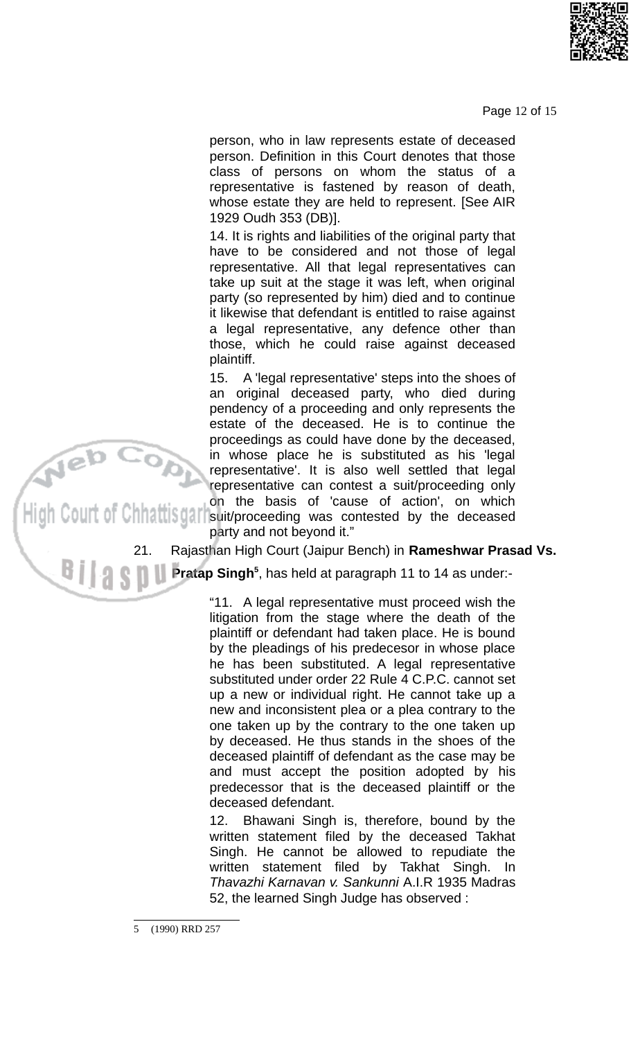

Page 12 of 15

person, who in law represents estate of deceased person. Definition in this Court denotes that those class of persons on whom the status of a representative is fastened by reason of death, whose estate they are held to represent. [See AIR 1929 Oudh 353 (DB)].

14. It is rights and liabilities of the original party that have to be considered and not those of legal representative. All that legal representatives can take up suit at the stage it was left, when original party (so represented by him) died and to continue it likewise that defendant is entitled to raise against a legal representative, any defence other than those, which he could raise against deceased plaintiff.

A 'legal representative' steps into the shoes of 15. an original deceased party, who died during pendency of a proceeding and only represents the estate of the deceased. He is to continue the proceedings as could have done by the deceased. in whose place he is substituted as his 'legal representative'. It is also well settled that legal representative can contest a suit/proceeding only

on the basis of 'cause of action', on which **11 Set 10** suit/proceeding was contested by the deceased party and not beyond it."

> 21. Rajasthan High Court (Jaipur Bench) in Rameshwar Prasad Vs.

Pratap Singh<sup>5</sup>, has held at paragraph 11 to 14 as under:-

"11. A legal representative must proceed wish the litigation from the stage where the death of the plaintiff or defendant had taken place. He is bound by the pleadings of his predecesor in whose place he has been substituted. A legal representative substituted under order 22 Rule 4 C.P.C. cannot set up a new or individual right. He cannot take up a new and inconsistent plea or a plea contrary to the one taken up by the contrary to the one taken up by deceased. He thus stands in the shoes of the deceased plaintiff of defendant as the case may be and must accept the position adopted by his predecessor that is the deceased plaintiff or the deceased defendant.

Bhawani Singh is, therefore, bound by the 12. written statement filed by the deceased Takhat Singh. He cannot be allowed to repudiate the written statement filed by Takhat Singh. In Thavazhi Karnavan v. Sankunni A.I.R 1935 Madras 52, the learned Singh Judge has observed :

<sup>5 (1990)</sup> RRD 257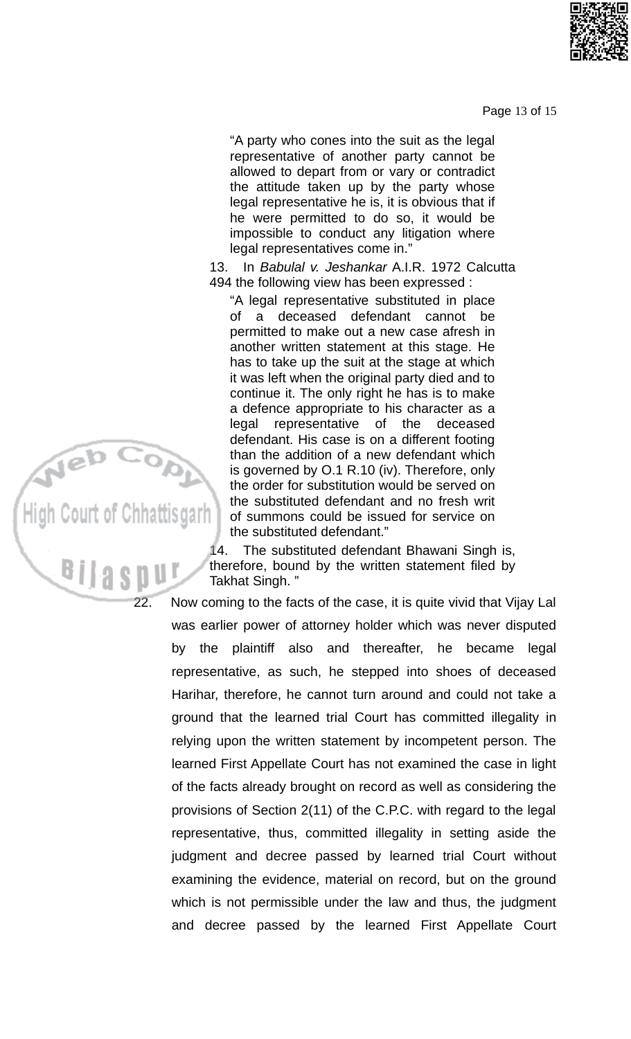Page 13 of 15

"A party who cones into the suit as the legal representative of another party cannot be allowed to depart from or vary or contradict the attitude taken up by the party whose legal representative he is, it is obvious that if he were permitted to do so, it would be impossible to conduct any litigation where legal representatives come in."

13. In Babulal v. Jeshankar A.I.R. 1972 Calcutta 494 the following view has been expressed:

"A legal representative substituted in place of a deceased defendant cannot be permitted to make out a new case afresh in another written statement at this stage. He has to take up the suit at the stage at which it was left when the original party died and to continue it. The only right he has is to make a defence appropriate to his character as a deceased legal representative of the defendant. His case is on a different footing than the addition of a new defendant which is governed by O.1 R.10 (iv). Therefore, only the order for substitution would be served on the substituted defendant and no fresh writ of summons could be issued for service on the substituted defendant."

The substituted defendant Bhawani Singh is, 14. therefore, bound by the written statement filed by Takhat Singh."

Now coming to the facts of the case, it is quite vivid that Vijay Lal was earlier power of attorney holder which was never disputed by the plaintiff also and thereafter, he became legal representative, as such, he stepped into shoes of deceased Harihar, therefore, he cannot turn around and could not take a ground that the learned trial Court has committed illegality in relying upon the written statement by incompetent person. The learned First Appellate Court has not examined the case in light of the facts already brought on record as well as considering the provisions of Section 2(11) of the C.P.C. with regard to the legal representative, thus, committed illegality in setting aside the judgment and decree passed by learned trial Court without examining the evidence, material on record, but on the ground which is not permissible under the law and thus, the judgment and decree passed by the learned First Appellate Court



22.

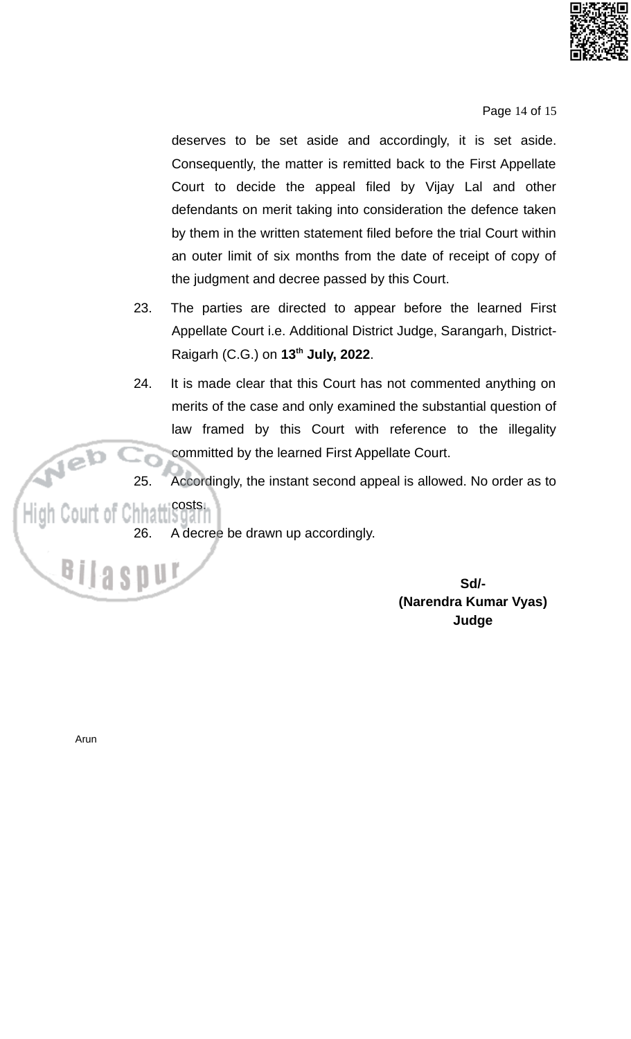

Page 14 of 15

deserves to be set aside and accordingly, it is set aside. Consequently, the matter is remitted back to the First Appellate Court to decide the appeal filed by Vijay Lal and other defendants on merit taking into consideration the defence taken by them in the written statement filed before the trial Court within an outer limit of six months from the date of receipt of copy of the judgment and decree passed by this Court.

- 23. The parties are directed to appear before the learned First Appellate Court i.e. Additional District Judge, Sarangarh, District-Raigarh (C.G.) on 13<sup>th</sup> July, 2022.
- 24. It is made clear that this Court has not commented anything on merits of the case and only examined the substantial question of law framed by this Court with reference to the illegality committed by the learned First Appellate Court.
- 25. Accordingly, the instant second appeal is allowed. No order as to

#### hhattisgari costs. High Court of C

A decree be drawn up accordingly. 26.

> Sd/-(Narendra Kumar Vyas) Judge

Arun

B<sub>I</sub>